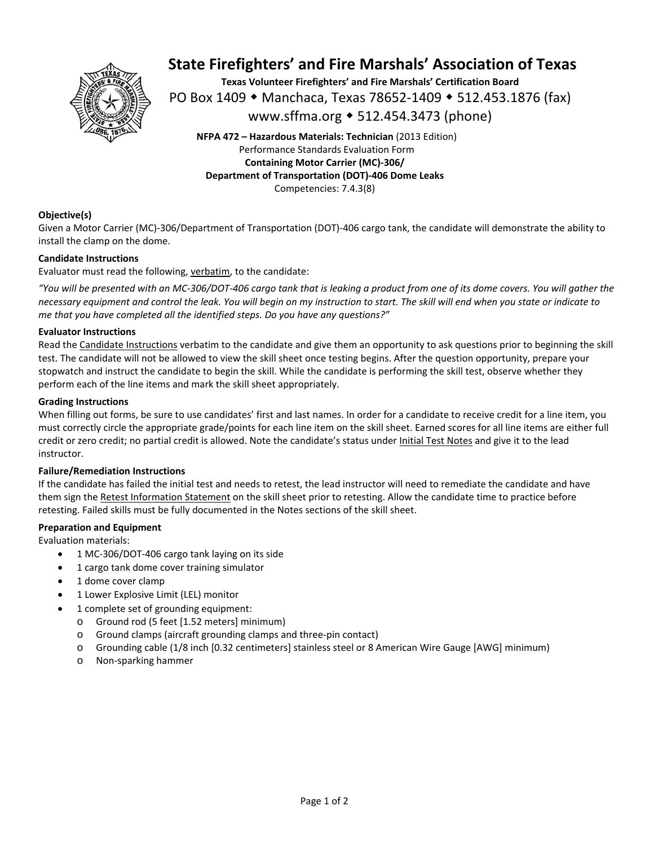

# **State Firefighters' and Fire Marshals' Association of Texas**

**Texas Volunteer Firefighters' and Fire Marshals' Certification Board**  PO Box 1409 ◆ Manchaca, Texas 78652-1409 ◆ 512.453.1876 (fax) www.sffma.org 512.454.3473 (phone)

**NFPA 472 – Hazardous Materials: Technician** (2013 Edition) Performance Standards Evaluation Form **Containing Motor Carrier (MC)‐306/ Department of Transportation (DOT)‐406 Dome Leaks**  Competencies: 7.4.3(8)

# **Objective(s)**

Given a Motor Carrier (MC)‐306/Department of Transportation (DOT)‐406 cargo tank, the candidate will demonstrate the ability to install the clamp on the dome.

# **Candidate Instructions**

Evaluator must read the following, verbatim, to the candidate:

*"You will be presented with an MC‐306/DOT‐406 cargo tank that is leaking a product from one of its dome covers. You will gather the necessary equipment and control the leak. You will begin on my instruction to start. The skill will end when you state or indicate to me that you have completed all the identified steps. Do you have any questions?"* 

# **Evaluator Instructions**

Read the Candidate Instructions verbatim to the candidate and give them an opportunity to ask questions prior to beginning the skill test. The candidate will not be allowed to view the skill sheet once testing begins. After the question opportunity, prepare your stopwatch and instruct the candidate to begin the skill. While the candidate is performing the skill test, observe whether they perform each of the line items and mark the skill sheet appropriately.

#### **Grading Instructions**

When filling out forms, be sure to use candidates' first and last names. In order for a candidate to receive credit for a line item, you must correctly circle the appropriate grade/points for each line item on the skill sheet. Earned scores for all line items are either full credit or zero credit; no partial credit is allowed. Note the candidate's status under Initial Test Notes and give it to the lead instructor.

# **Failure/Remediation Instructions**

If the candidate has failed the initial test and needs to retest, the lead instructor will need to remediate the candidate and have them sign the Retest Information Statement on the skill sheet prior to retesting. Allow the candidate time to practice before retesting. Failed skills must be fully documented in the Notes sections of the skill sheet.

# **Preparation and Equipment**

Evaluation materials:

- 1 MC‐306/DOT‐406 cargo tank laying on its side
- 1 cargo tank dome cover training simulator
- 1 dome cover clamp
- 1 Lower Explosive Limit (LEL) monitor
- 1 complete set of grounding equipment:
	- o Ground rod (5 feet [1.52 meters] minimum)
	- o Ground clamps (aircraft grounding clamps and three‐pin contact)
	- o Grounding cable (1/8 inch [0.32 centimeters] stainless steel or 8 American Wire Gauge [AWG] minimum)
	- o Non‐sparking hammer